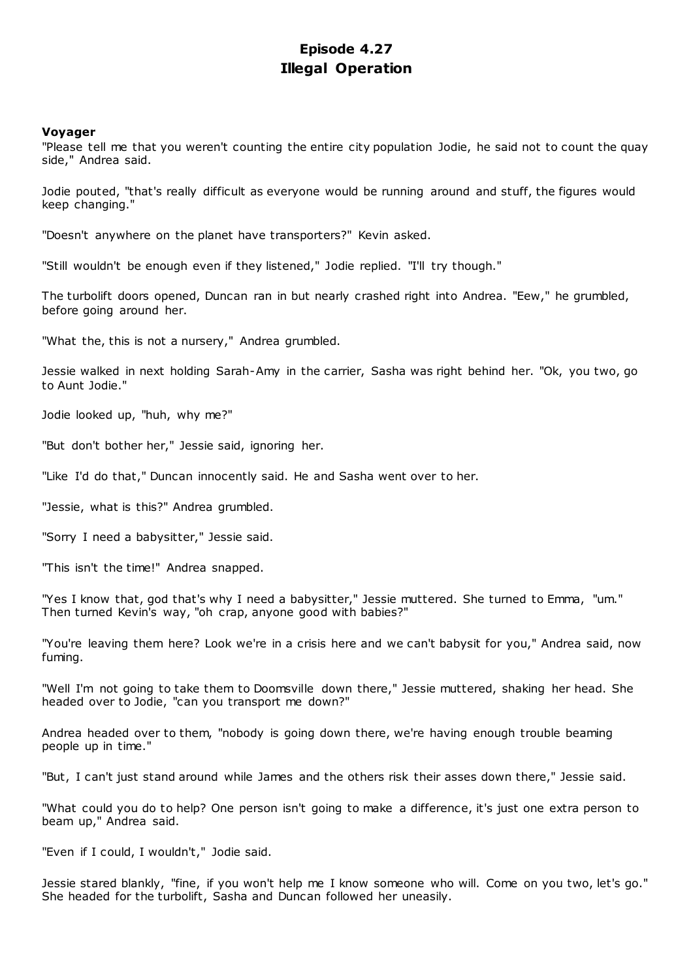# **Episode 4.27 Illegal Operation**

# **Voyager**

"Please tell me that you weren't counting the entire city population Jodie, he said not to count the quay side," Andrea said.

Jodie pouted, "that's really difficult as everyone would be running around and stuff, the figures would keep changing."

"Doesn't anywhere on the planet have transporters?" Kevin asked.

"Still wouldn't be enough even if they listened," Jodie replied. "I'll try though."

The turbolift doors opened, Duncan ran in but nearly crashed right into Andrea. "Eew," he grumbled, before going around her.

"What the, this is not a nursery," Andrea grumbled.

Jessie walked in next holding Sarah-Amy in the carrier, Sasha was right behind her. "Ok, you two, go to Aunt Jodie."

Jodie looked up, "huh, why me?"

"But don't bother her," Jessie said, ignoring her.

"Like I'd do that," Duncan innocently said. He and Sasha went over to her.

"Jessie, what is this?" Andrea grumbled.

"Sorry I need a babysitter," Jessie said.

"This isn't the time!" Andrea snapped.

"Yes I know that, god that's why I need a babysitter," Jessie muttered. She turned to Emma, "um." Then turned Kevin's way, "oh crap, anyone good with babies?"

"You're leaving them here? Look we're in a crisis here and we can't babysit for you," Andrea said, now fuming.

"Well I'm not going to take them to Doomsville down there," Jessie muttered, shaking her head. She headed over to Jodie, "can you transport me down?"

Andrea headed over to them, "nobody is going down there, we're having enough trouble beaming people up in time."

"But, I can't just stand around while James and the others risk their asses down there," Jessie said.

"What could you do to help? One person isn't going to make a difference, it's just one extra person to beam up," Andrea said.

"Even if I could, I wouldn't," Jodie said.

Jessie stared blankly, "fine, if you won't help me I know someone who will. Come on you two, let's go." She headed for the turbolift, Sasha and Duncan followed her uneasily.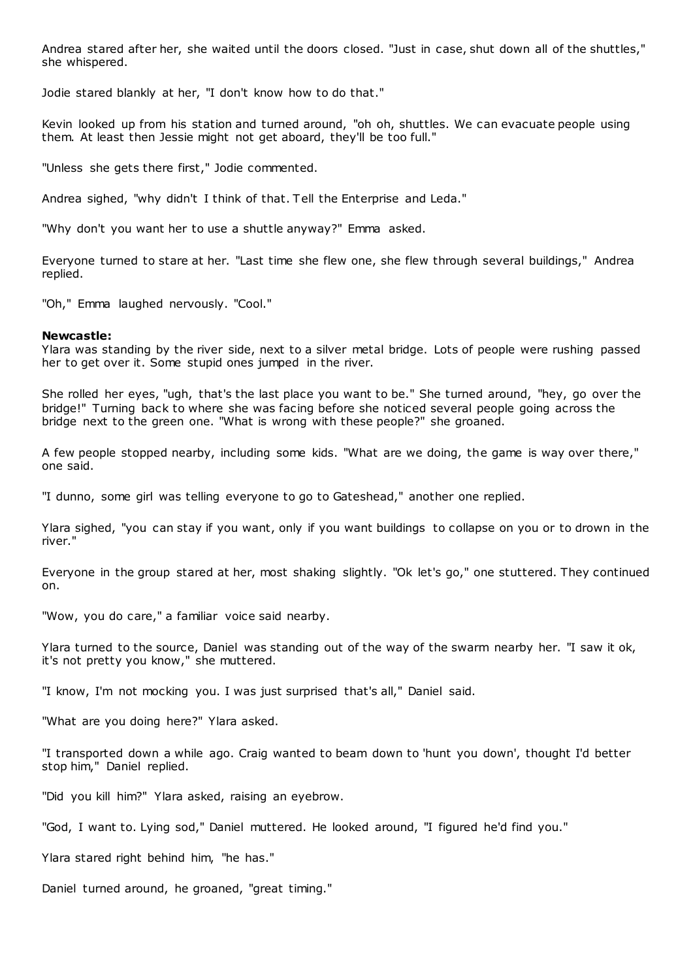Andrea stared after her, she waited until the doors closed. "Just in case, shut down all of the shuttles," she whispered.

Jodie stared blankly at her, "I don't know how to do that."

Kevin looked up from his station and turned around, "oh oh, shuttles. We can evacuate people using them. At least then Jessie might not get aboard, they'll be too full."

"Unless she gets there first," Jodie commented.

Andrea sighed, "why didn't I think of that. Tell the Enterprise and Leda."

"Why don't you want her to use a shuttle anyway?" Emma asked.

Everyone turned to stare at her. "Last time she flew one, she flew through several buildings," Andrea replied.

"Oh," Emma laughed nervously. "Cool."

## **Newcastle:**

Ylara was standing by the river side, next to a silver metal bridge. Lots of people were rushing passed her to get over it. Some stupid ones jumped in the river.

She rolled her eyes, "ugh, that's the last place you want to be." She turned around, "hey, go over the bridge!" Turning back to where she was facing before she noticed several people going across the bridge next to the green one. "What is wrong with these people?" she groaned.

A few people stopped nearby, including some kids. "What are we doing, the game is way over there," one said.

"I dunno, some girl was telling everyone to go to Gateshead," another one replied.

Ylara sighed, "you can stay if you want, only if you want buildings to collapse on you or to drown in the river."

Everyone in the group stared at her, most shaking slightly. "Ok let's go," one stuttered. They continued on.

"Wow, you do care," a familiar voice said nearby.

Ylara turned to the source, Daniel was standing out of the way of the swarm nearby her. "I saw it ok, it's not pretty you know," she muttered.

"I know, I'm not mocking you. I was just surprised that's all," Daniel said.

"What are you doing here?" Ylara asked.

"I transported down a while ago. Craig wanted to beam down to 'hunt you down', thought I'd better stop him," Daniel replied.

"Did you kill him?" Ylara asked, raising an eyebrow.

"God, I want to. Lying sod," Daniel muttered. He looked around, "I figured he'd find you."

Ylara stared right behind him, "he has."

Daniel turned around, he groaned, "great timing."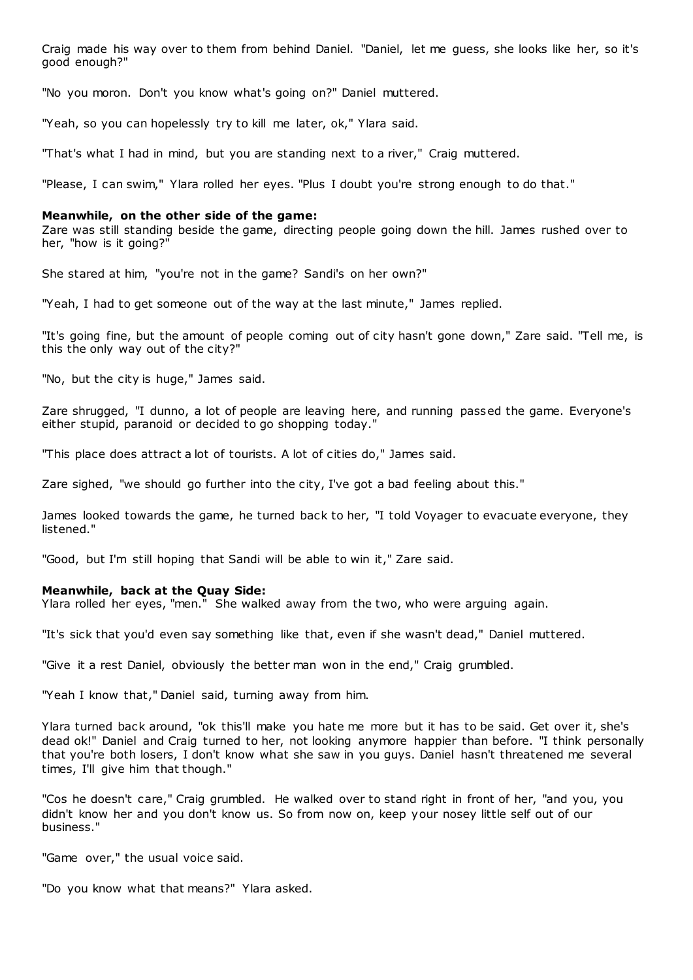Craig made his way over to them from behind Daniel. "Daniel, let me guess, she looks like her, so it's good enough?"

"No you moron. Don't you know what's going on?" Daniel muttered.

"Yeah, so you can hopelessly try to kill me later, ok," Ylara said.

"That's what I had in mind, but you are standing next to a river," Craig muttered.

"Please, I can swim," Ylara rolled her eyes. "Plus I doubt you're strong enough to do that."

#### **Meanwhile, on the other side of the game:**

Zare was still standing beside the game, directing people going down the hill. James rushed over to her, "how is it going?"

She stared at him, "you're not in the game? Sandi's on her own?"

"Yeah, I had to get someone out of the way at the last minute," James replied.

"It's going fine, but the amount of people coming out of city hasn't gone down," Zare said. "Tell me, is this the only way out of the city?"

"No, but the city is huge," James said.

Zare shrugged, "I dunno, a lot of people are leaving here, and running passed the game. Everyone's either stupid, paranoid or decided to go shopping today."

"This place does attract a lot of tourists. A lot of cities do," James said.

Zare sighed, "we should go further into the city, I've got a bad feeling about this."

James looked towards the game, he turned back to her, "I told Voyager to evacuate everyone, they listened."

"Good, but I'm still hoping that Sandi will be able to win it," Zare said.

## **Meanwhile, back at the Quay Side:**

Ylara rolled her eyes, "men." She walked away from the two, who were arguing again.

"It's sick that you'd even say something like that, even if she wasn't dead," Daniel muttered.

"Give it a rest Daniel, obviously the better man won in the end," Craig grumbled.

"Yeah I know that," Daniel said, turning away from him.

Ylara turned back around, "ok this'll make you hate me more but it has to be said. Get over it, she's dead ok!" Daniel and Craig turned to her, not looking anymore happier than before. "I think personally that you're both losers, I don't know what she saw in you guys. Daniel hasn't threatened me several times, I'll give him that though."

"Cos he doesn't care," Craig grumbled. He walked over to stand right in front of her, "and you, you didn't know her and you don't know us. So from now on, keep your nosey little self out of our business."

"Game over," the usual voice said.

"Do you know what that means?" Ylara asked.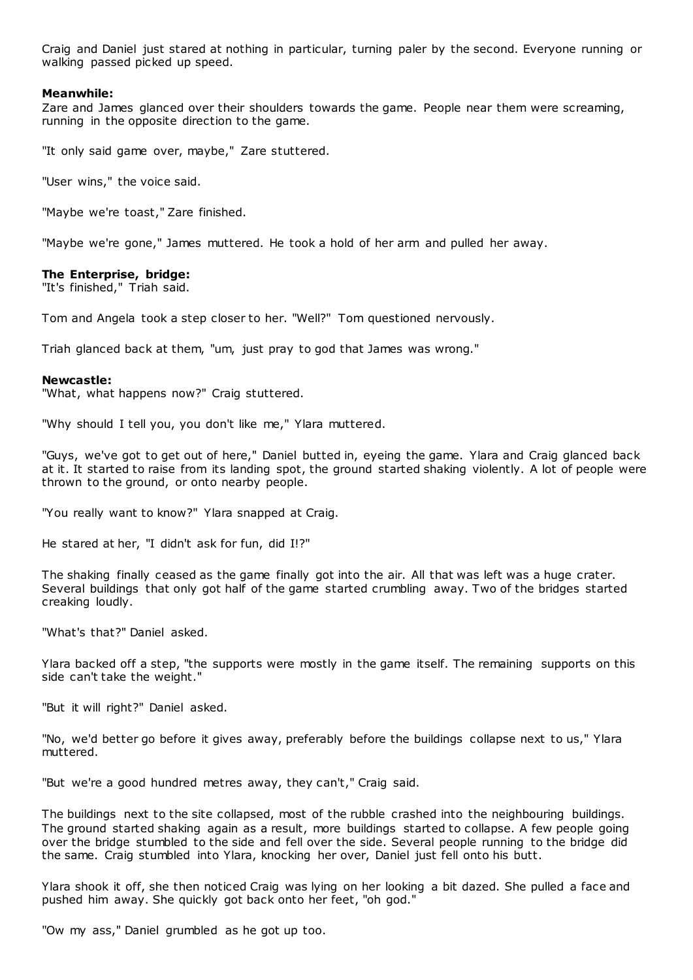Craig and Daniel just stared at nothing in particular, turning paler by the second. Everyone running or walking passed picked up speed.

# **Meanwhile:**

Zare and James glanced over their shoulders towards the game. People near them were screaming, running in the opposite direction to the game.

"It only said game over, maybe," Zare stuttered.

"User wins," the voice said.

"Maybe we're toast," Zare finished.

"Maybe we're gone," James muttered. He took a hold of her arm and pulled her away.

## **The Enterprise, bridge:**

"It's finished," Triah said.

Tom and Angela took a step closer to her. "Well?" Tom questioned nervously.

Triah glanced back at them, "um, just pray to god that James was wrong."

## **Newcastle:**

"What, what happens now?" Craig stuttered.

"Why should I tell you, you don't like me," Ylara muttered.

"Guys, we've got to get out of here," Daniel butted in, eyeing the game. Ylara and Craig glanced back at it. It started to raise from its landing spot, the ground started shaking violently. A lot of people were thrown to the ground, or onto nearby people.

"You really want to know?" Ylara snapped at Craig.

He stared at her, "I didn't ask for fun, did I!?"

The shaking finally ceased as the game finally got into the air. All that was left was a huge crater. Several buildings that only got half of the game started crumbling away. Two of the bridges started creaking loudly.

"What's that?" Daniel asked.

Ylara backed off a step, "the supports were mostly in the game itself. The remaining supports on this side can't take the weight."

"But it will right?" Daniel asked.

"No, we'd better go before it gives away, preferably before the buildings collapse next to us," Ylara muttered.

"But we're a good hundred metres away, they can't," Craig said.

The buildings next to the site collapsed, most of the rubble crashed into the neighbouring buildings. The ground started shaking again as a result, more buildings started to collapse. A few people going over the bridge stumbled to the side and fell over the side. Several people running to the bridge did the same. Craig stumbled into Ylara, knocking her over, Daniel just fell onto his butt.

Ylara shook it off, she then noticed Craig was lying on her looking a bit dazed. She pulled a face and pushed him away. She quickly got back onto her feet, "oh god."

"Ow my ass," Daniel grumbled as he got up too.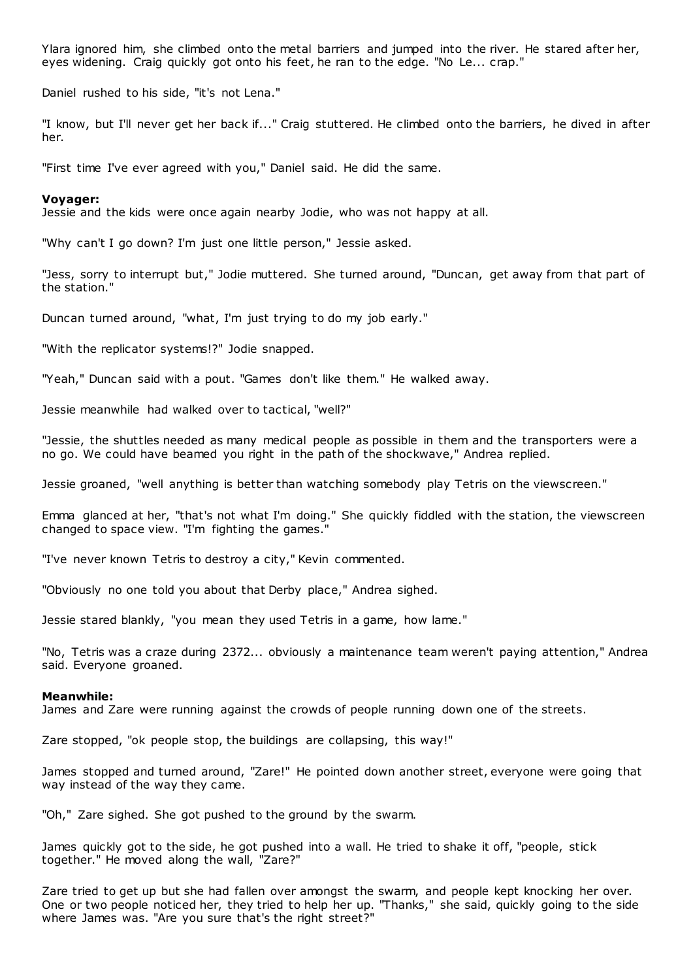Ylara ignored him, she climbed onto the metal barriers and jumped into the river. He stared after her, eyes widening. Craig quickly got onto his feet, he ran to the edge. "No Le... crap."

Daniel rushed to his side, "it's not Lena."

"I know, but I'll never get her back if..." Craig stuttered. He climbed onto the barriers, he dived in after her.

"First time I've ever agreed with you," Daniel said. He did the same.

#### **Voyager:**

Jessie and the kids were once again nearby Jodie, who was not happy at all.

"Why can't I go down? I'm just one little person," Jessie asked.

"Jess, sorry to interrupt but," Jodie muttered. She turned around, "Duncan, get away from that part of the station."

Duncan turned around, "what, I'm just trying to do my job early."

"With the replicator systems!?" Jodie snapped.

"Yeah," Duncan said with a pout. "Games don't like them." He walked away.

Jessie meanwhile had walked over to tactical, "well?"

"Jessie, the shuttles needed as many medical people as possible in them and the transporters were a no go. We could have beamed you right in the path of the shockwave," Andrea replied.

Jessie groaned, "well anything is better than watching somebody play Tetris on the viewscreen."

Emma glanced at her, "that's not what I'm doing." She quickly fiddled with the station, the viewscreen changed to space view. "I'm fighting the games."

"I've never known Tetris to destroy a city," Kevin commented.

"Obviously no one told you about that Derby place," Andrea sighed.

Jessie stared blankly, "you mean they used Tetris in a game, how lame."

"No, Tetris was a craze during 2372... obviously a maintenance team weren't paying attention," Andrea said. Everyone groaned.

#### **Meanwhile:**

James and Zare were running against the crowds of people running down one of the streets.

Zare stopped, "ok people stop, the buildings are collapsing, this way!"

James stopped and turned around, "Zare!" He pointed down another street, everyone were going that way instead of the way they came.

"Oh," Zare sighed. She got pushed to the ground by the swarm.

James quickly got to the side, he got pushed into a wall. He tried to shake it off, "people, stick together." He moved along the wall, "Zare?"

Zare tried to get up but she had fallen over amongst the swarm, and people kept knocking her over. One or two people noticed her, they tried to help her up. "Thanks," she said, quickly going to the side where James was. "Are you sure that's the right street?"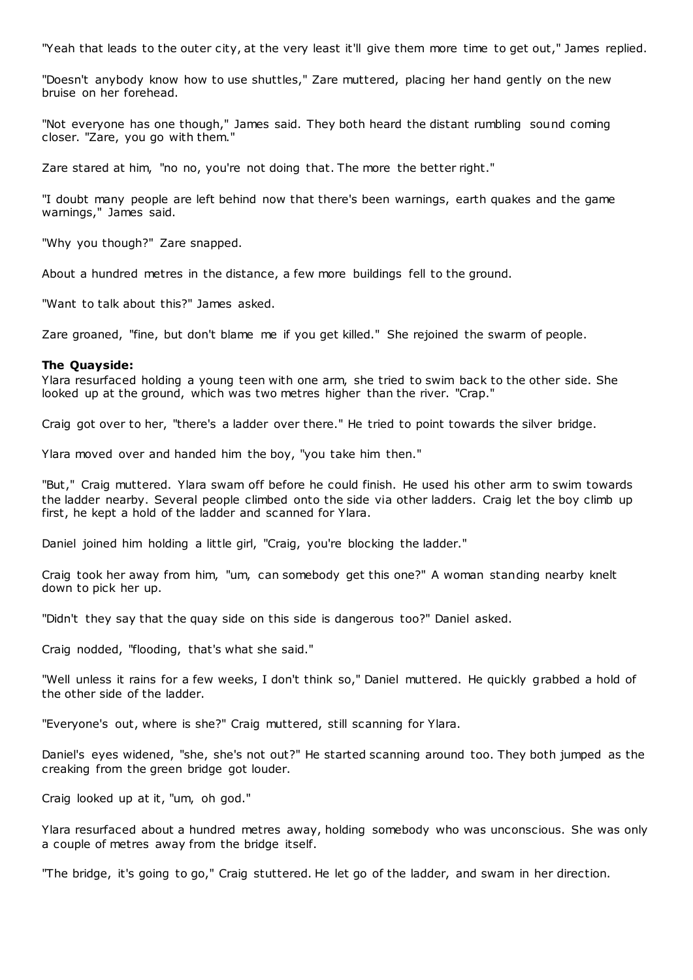"Yeah that leads to the outer city, at the very least it'll give them more time to get out," James replied.

"Doesn't anybody know how to use shuttles," Zare muttered, placing her hand gently on the new bruise on her forehead.

"Not everyone has one though," James said. They both heard the distant rumbling sound coming closer. "Zare, you go with them."

Zare stared at him, "no no, you're not doing that. The more the better right."

"I doubt many people are left behind now that there's been warnings, earth quakes and the game warnings," James said.

"Why you though?" Zare snapped.

About a hundred metres in the distance, a few more buildings fell to the ground.

"Want to talk about this?" James asked.

Zare groaned, "fine, but don't blame me if you get killed." She rejoined the swarm of people.

## **The Quayside:**

Ylara resurfaced holding a young teen with one arm, she tried to swim back to the other side. She looked up at the ground, which was two metres higher than the river. "Crap."

Craig got over to her, "there's a ladder over there." He tried to point towards the silver bridge.

Ylara moved over and handed him the boy, "you take him then."

"But," Craig muttered. Ylara swam off before he could finish. He used his other arm to swim towards the ladder nearby. Several people climbed onto the side via other ladders. Craig let the boy climb up first, he kept a hold of the ladder and scanned for Ylara.

Daniel joined him holding a little girl, "Craig, you're blocking the ladder."

Craig took her away from him, "um, can somebody get this one?" A woman standing nearby knelt down to pick her up.

"Didn't they say that the quay side on this side is dangerous too?" Daniel asked.

Craig nodded, "flooding, that's what she said."

"Well unless it rains for a few weeks, I don't think so," Daniel muttered. He quickly grabbed a hold of the other side of the ladder.

"Everyone's out, where is she?" Craig muttered, still scanning for Ylara.

Daniel's eyes widened, "she, she's not out?" He started scanning around too. They both jumped as the creaking from the green bridge got louder.

Craig looked up at it, "um, oh god."

Ylara resurfaced about a hundred metres away, holding somebody who was unconscious. She was only a couple of metres away from the bridge itself.

"The bridge, it's going to go," Craig stuttered. He let go of the ladder, and swam in her direction.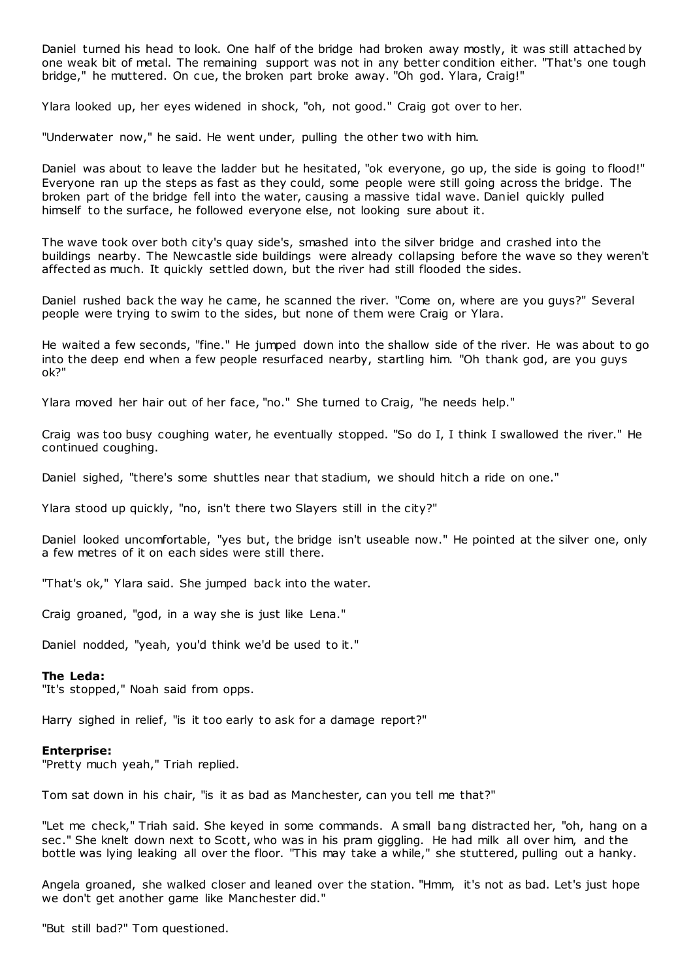Daniel turned his head to look. One half of the bridge had broken away mostly, it was still attached by one weak bit of metal. The remaining support was not in any better condition either. "That's one tough bridge," he muttered. On cue, the broken part broke away. "Oh god. Ylara, Craig!"

Ylara looked up, her eyes widened in shock, "oh, not good." Craig got over to her.

"Underwater now," he said. He went under, pulling the other two with him.

Daniel was about to leave the ladder but he hesitated, "ok everyone, go up, the side is going to flood!" Everyone ran up the steps as fast as they could, some people were still going across the bridge. The broken part of the bridge fell into the water, causing a massive tidal wave. Daniel quickly pulled himself to the surface, he followed everyone else, not looking sure about it.

The wave took over both city's quay side's, smashed into the silver bridge and crashed into the buildings nearby. The Newcastle side buildings were already collapsing before the wave so they weren't affected as much. It quickly settled down, but the river had still flooded the sides.

Daniel rushed back the way he came, he scanned the river. "Come on, where are you guys?" Several people were trying to swim to the sides, but none of them were Craig or Ylara.

He waited a few seconds, "fine." He jumped down into the shallow side of the river. He was about to go into the deep end when a few people resurfaced nearby, startling him. "Oh thank god, are you guys ok?"

Ylara moved her hair out of her face, "no." She turned to Craig, "he needs help."

Craig was too busy coughing water, he eventually stopped. "So do I, I think I swallowed the river." He continued coughing.

Daniel sighed, "there's some shuttles near that stadium, we should hitch a ride on one."

Ylara stood up quickly, "no, isn't there two Slayers still in the city?"

Daniel looked uncomfortable, "yes but, the bridge isn't useable now." He pointed at the silver one, only a few metres of it on each sides were still there.

"That's ok," Ylara said. She jumped back into the water.

Craig groaned, "god, in a way she is just like Lena."

Daniel nodded, "yeah, you'd think we'd be used to it."

## **The Leda:**

"It's stopped," Noah said from opps.

Harry sighed in relief, "is it too early to ask for a damage report?"

## **Enterprise:**

"Pretty much yeah," Triah replied.

Tom sat down in his chair, "is it as bad as Manchester, can you tell me that?"

"Let me check," Triah said. She keyed in some commands. A small bang distracted her, "oh, hang on a sec ." She knelt down next to Scott, who was in his pram giggling. He had milk all over him, and the bottle was lying leaking all over the floor. "This may take a while," she stuttered, pulling out a hanky.

Angela groaned, she walked closer and leaned over the station. "Hmm, it's not as bad. Let's just hope we don't get another game like Manchester did."

"But still bad?" Tom questioned.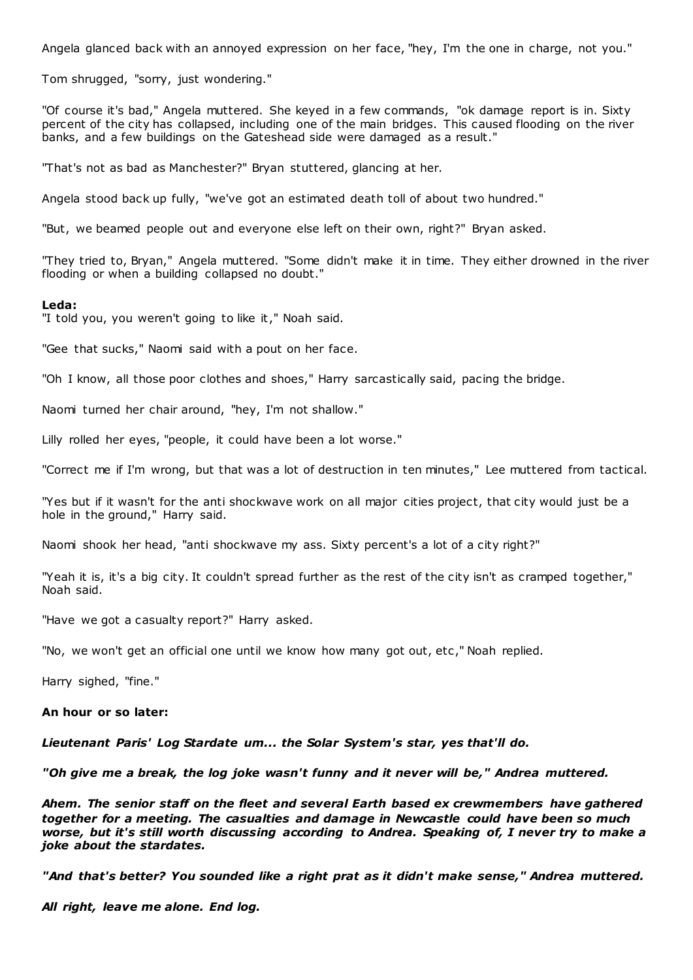Angela glanced back with an annoyed expression on her face, "hey, I'm the one in charge, not you."

Tom shrugged, "sorry, just wondering."

"Of course it's bad," Angela muttered. She keyed in a few commands, "ok damage report is in. Sixty percent of the city has collapsed, including one of the main bridges. This caused flooding on the river banks, and a few buildings on the Gateshead side were damaged as a result."

"That's not as bad as Manchester?" Bryan stuttered, glancing at her.

Angela stood back up fully, "we've got an estimated death toll of about two hundred."

"But, we beamed people out and everyone else left on their own, right?" Bryan asked.

"They tried to, Bryan," Angela muttered. "Some didn't make it in time. They either drowned in the river flooding or when a building collapsed no doubt."

#### **Leda:**

"I told you, you weren't going to like it," Noah said.

"Gee that sucks," Naomi said with a pout on her face.

"Oh I know, all those poor clothes and shoes," Harry sarcastically said, pacing the bridge.

Naomi turned her chair around, "hey, I'm not shallow."

Lilly rolled her eyes, "people, it could have been a lot worse."

"Correct me if I'm wrong, but that was a lot of destruction in ten minutes," Lee muttered from tactical.

"Yes but if it wasn't for the anti shockwave work on all major cities project, that city would just be a hole in the ground," Harry said.

Naomi shook her head, "anti shockwave my ass. Sixty percent's a lot of a city right?"

"Yeah it is, it's a big city. It couldn't spread further as the rest of the city isn't as cramped together," Noah said.

"Have we got a casualty report?" Harry asked.

"No, we won't get an official one until we know how many got out, etc ," Noah replied.

Harry sighed, "fine."

# **An hour or so later:**

*Lieutenant Paris' Log Stardate um... the Solar System's star, yes that'll do.*

*"Oh give me a break, the log joke wasn't funny and it never will be," Andrea muttered.*

*Ahem. The senior staff on the fleet and several Earth based ex crewmembers have gathered together for a meeting. The casualties and damage in Newcastle could have been so much worse, but it's still worth discussing according to Andrea. Speaking of, I never try to make a joke about the stardates.*

*"And that's better? You sounded like a right prat as it didn't make sense," Andrea muttered.*

*All right, leave me alone. End log.*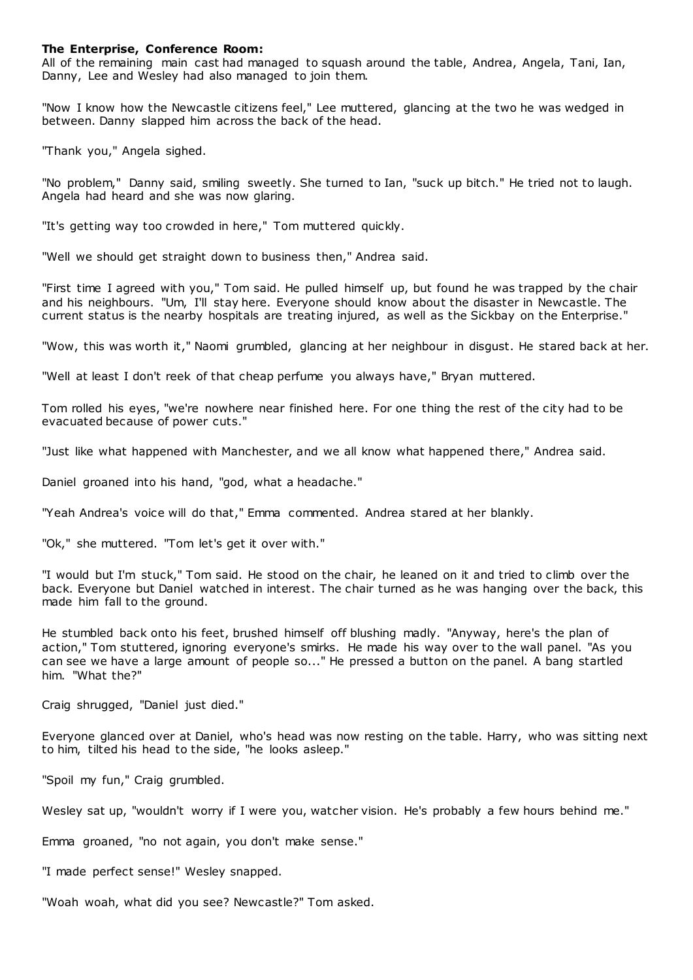# **The Enterprise, Conference Room:**

All of the remaining main cast had managed to squash around the table, Andrea, Angela, Tani, Ian, Danny, Lee and Wesley had also managed to join them.

"Now I know how the Newcastle citizens feel," Lee muttered, glancing at the two he was wedged in between. Danny slapped him across the back of the head.

"Thank you," Angela sighed.

"No problem," Danny said, smiling sweetly. She turned to Ian, "suck up bitch." He tried not to laugh. Angela had heard and she was now glaring.

"It's getting way too crowded in here," Tom muttered quickly.

"Well we should get straight down to business then," Andrea said.

"First time I agreed with you," Tom said. He pulled himself up, but found he was trapped by the chair and his neighbours. "Um, I'll stay here. Everyone should know about the disaster in Newcastle. The current status is the nearby hospitals are treating injured, as well as the Sickbay on the Enterprise."

"Wow, this was worth it," Naomi grumbled, glancing at her neighbour in disgust. He stared back at her.

"Well at least I don't reek of that cheap perfume you always have," Bryan muttered.

Tom rolled his eyes, "we're nowhere near finished here. For one thing the rest of the city had to be evacuated because of power cuts."

"Just like what happened with Manchester, and we all know what happened there," Andrea said.

Daniel groaned into his hand, "god, what a headache."

"Yeah Andrea's voice will do that," Emma commented. Andrea stared at her blankly.

"Ok," she muttered. "Tom let's get it over with."

"I would but I'm stuck," Tom said. He stood on the chair, he leaned on it and tried to climb over the back. Everyone but Daniel watched in interest. The chair turned as he was hanging over the back, this made him fall to the ground.

He stumbled back onto his feet, brushed himself off blushing madly. "Anyway, here's the plan of action," Tom stuttered, ignoring everyone's smirks. He made his way over to the wall panel. "As you can see we have a large amount of people so..." He pressed a button on the panel. A bang startled him. "What the?"

Craig shrugged, "Daniel just died."

Everyone glanced over at Daniel, who's head was now resting on the table. Harry, who was sitting next to him, tilted his head to the side, "he looks asleep."

"Spoil my fun," Craig grumbled.

Wesley sat up, "wouldn't worry if I were you, watcher vision. He's probably a few hours behind me."

Emma groaned, "no not again, you don't make sense."

"I made perfect sense!" Wesley snapped.

"Woah woah, what did you see? Newcastle?" Tom asked.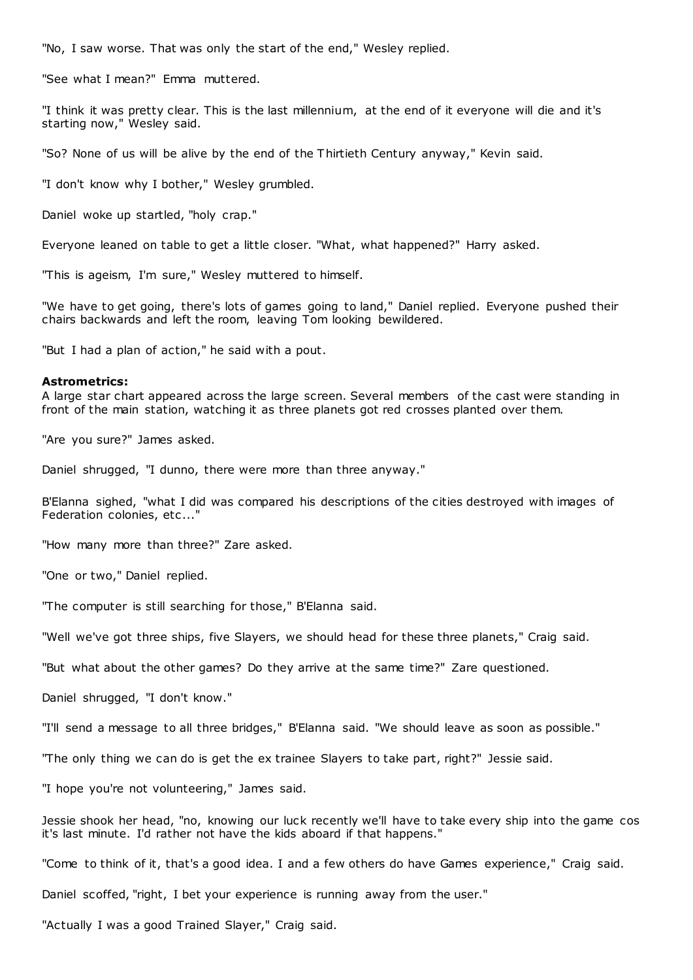"No, I saw worse. That was only the start of the end," Wesley replied.

"See what I mean?" Emma muttered.

"I think it was pretty clear. This is the last millennium, at the end of it everyone will die and it's starting now," Wesley said.

"So? None of us will be alive by the end of the Thirtieth Century anyway," Kevin said.

"I don't know why I bother," Wesley grumbled.

Daniel woke up startled, "holy crap."

Everyone leaned on table to get a little closer. "What, what happened?" Harry asked.

"This is ageism, I'm sure," Wesley muttered to himself.

"We have to get going, there's lots of games going to land," Daniel replied. Everyone pushed their chairs backwards and left the room, leaving Tom looking bewildered.

"But I had a plan of action," he said with a pout.

#### **Astrometrics:**

A large star chart appeared across the large screen. Several members of the cast were standing in front of the main station, watching it as three planets got red crosses planted over them.

"Are you sure?" James asked.

Daniel shrugged, "I dunno, there were more than three anyway."

B'Elanna sighed, "what I did was compared his descriptions of the cities destroyed with images of Federation colonies, etc..."

"How many more than three?" Zare asked.

"One or two," Daniel replied.

"The computer is still searching for those," B'Elanna said.

"Well we've got three ships, five Slayers, we should head for these three planets," Craig said.

"But what about the other games? Do they arrive at the same time?" Zare questioned.

Daniel shrugged, "I don't know."

"I'll send a message to all three bridges," B'Elanna said. "We should leave as soon as possible."

"The only thing we can do is get the ex trainee Slayers to take part, right?" Jessie said.

"I hope you're not volunteering," James said.

Jessie shook her head, "no, knowing our luck recently we'll have to take every ship into the game cos it's last minute. I'd rather not have the kids aboard if that happens."

"Come to think of it, that's a good idea. I and a few others do have Games experience," Craig said.

Daniel scoffed, "right, I bet your experience is running away from the user."

"Actually I was a good Trained Slayer," Craig said.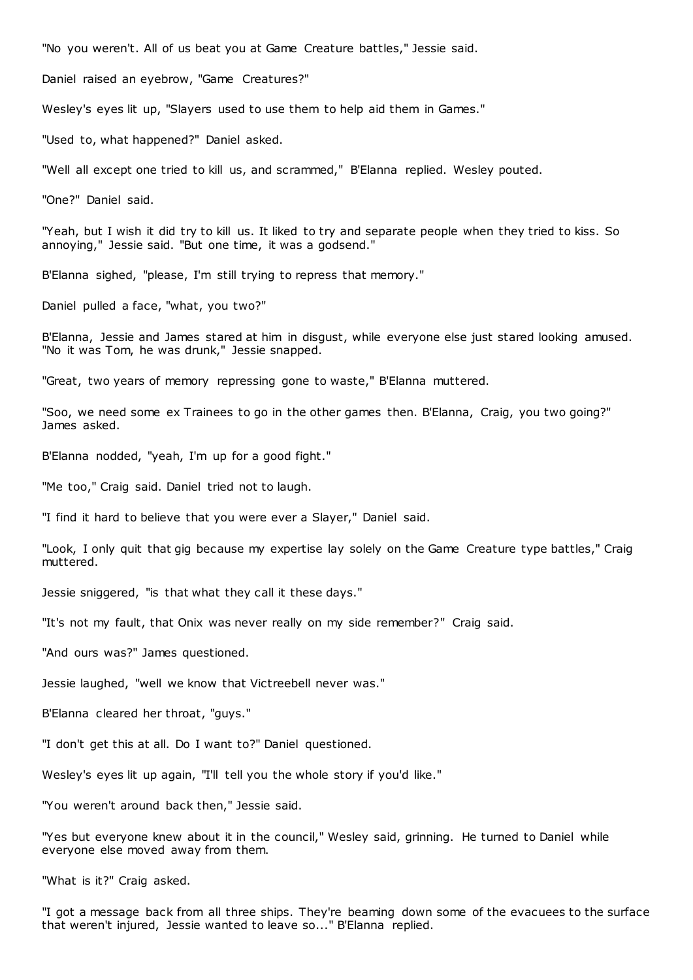"No you weren't. All of us beat you at Game Creature battles," Jessie said.

Daniel raised an eyebrow, "Game Creatures?"

Wesley's eyes lit up, "Slayers used to use them to help aid them in Games."

"Used to, what happened?" Daniel asked.

"Well all except one tried to kill us, and scrammed," B'Elanna replied. Wesley pouted.

"One?" Daniel said.

"Yeah, but I wish it did try to kill us. It liked to try and separate people when they tried to kiss. So annoying," Jessie said. "But one time, it was a godsend."

B'Elanna sighed, "please, I'm still trying to repress that memory."

Daniel pulled a face, "what, you two?"

B'Elanna, Jessie and James stared at him in disgust, while everyone else just stared looking amused. "No it was Tom, he was drunk," Jessie snapped.

"Great, two years of memory repressing gone to waste," B'Elanna muttered.

"Soo, we need some ex Trainees to go in the other games then. B'Elanna, Craig, you two going?" James asked.

B'Elanna nodded, "yeah, I'm up for a good fight."

"Me too," Craig said. Daniel tried not to laugh.

"I find it hard to believe that you were ever a Slayer," Daniel said.

"Look, I only quit that gig because my expertise lay solely on the Game Creature type battles," Craig muttered.

Jessie sniggered, "is that what they call it these days."

"It's not my fault, that Onix was never really on my side remember?" Craig said.

"And ours was?" James questioned.

Jessie laughed, "well we know that Victreebell never was."

B'Elanna cleared her throat, "guys."

"I don't get this at all. Do I want to?" Daniel questioned.

Wesley's eyes lit up again, "I'll tell you the whole story if you'd like."

"You weren't around back then," Jessie said.

"Yes but everyone knew about it in the council," Wesley said, grinning. He turned to Daniel while everyone else moved away from them.

"What is it?" Craig asked.

"I got a message back from all three ships. They're beaming down some of the evacuees to the surface that weren't injured, Jessie wanted to leave so..." B'Elanna replied.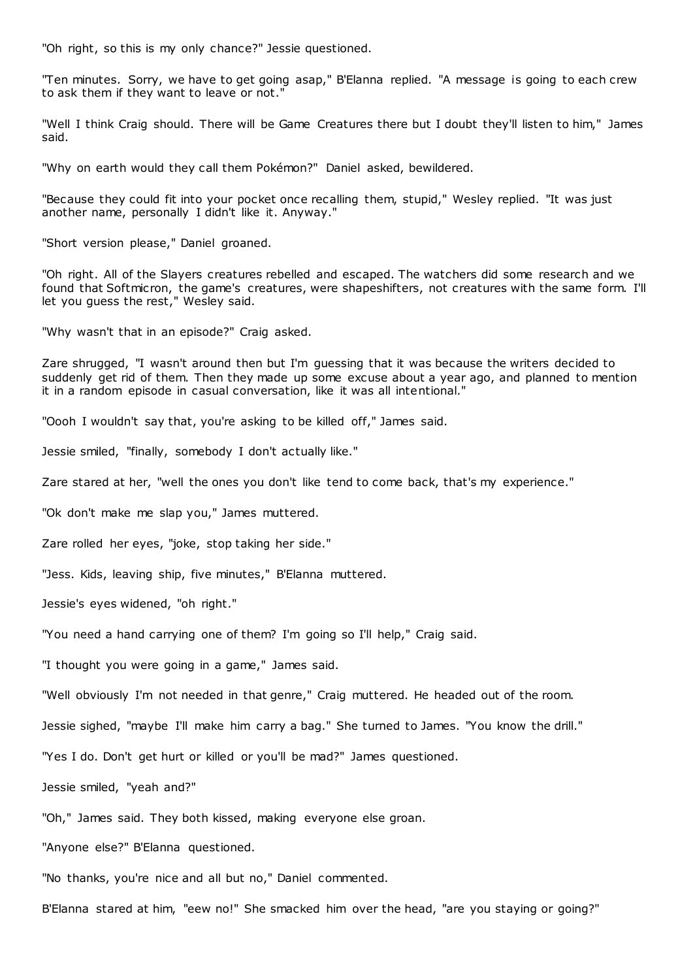"Oh right, so this is my only chance?" Jessie questioned.

"Ten minutes. Sorry, we have to get going asap," B'Elanna replied. "A message is going to each crew to ask them if they want to leave or not."

"Well I think Craig should. There will be Game Creatures there but I doubt they'll listen to him," James said.

"Why on earth would they call them Pokémon?" Daniel asked, bewildered.

"Because they could fit into your pocket once recalling them, stupid," Wesley replied. "It was just another name, personally I didn't like it. Anyway."

"Short version please," Daniel groaned.

"Oh right. All of the Slayers creatures rebelled and escaped. The watchers did some research and we found that Softmicron, the game's creatures, were shapeshifters, not creatures with the same form. I'll let you guess the rest," Wesley said.

"Why wasn't that in an episode?" Craig asked.

Zare shrugged, "I wasn't around then but I'm guessing that it was because the writers decided to suddenly get rid of them. Then they made up some excuse about a year ago, and planned to mention it in a random episode in casual conversation, like it was all intentional."

"Oooh I wouldn't say that, you're asking to be killed off," James said.

Jessie smiled, "finally, somebody I don't actually like."

Zare stared at her, "well the ones you don't like tend to come back, that's my experience."

"Ok don't make me slap you," James muttered.

Zare rolled her eyes, "joke, stop taking her side."

"Jess. Kids, leaving ship, five minutes," B'Elanna muttered.

Jessie's eyes widened, "oh right."

"You need a hand carrying one of them? I'm going so I'll help," Craig said.

"I thought you were going in a game," James said.

"Well obviously I'm not needed in that genre," Craig muttered. He headed out of the room.

Jessie sighed, "maybe I'll make him carry a bag." She turned to James. "You know the drill."

"Yes I do. Don't get hurt or killed or you'll be mad?" James questioned.

Jessie smiled, "yeah and?"

"Oh," James said. They both kissed, making everyone else groan.

"Anyone else?" B'Elanna questioned.

"No thanks, you're nice and all but no," Daniel commented.

B'Elanna stared at him, "eew no!" She smacked him over the head, "are you staying or going?"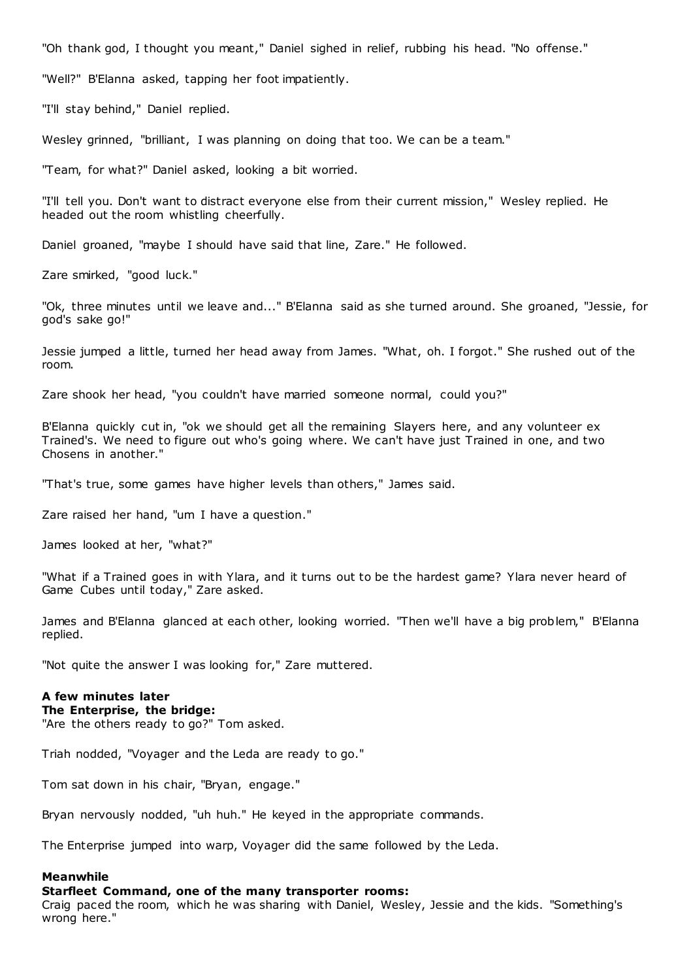"Oh thank god, I thought you meant," Daniel sighed in relief, rubbing his head. "No offense."

"Well?" B'Elanna asked, tapping her foot impatiently.

"I'll stay behind," Daniel replied.

Wesley grinned, "brilliant, I was planning on doing that too. We can be a team."

"Team, for what?" Daniel asked, looking a bit worried.

"I'll tell you. Don't want to distract everyone else from their current mission," Wesley replied. He headed out the room whistling cheerfully.

Daniel groaned, "maybe I should have said that line, Zare." He followed.

Zare smirked, "good luck."

"Ok, three minutes until we leave and..." B'Elanna said as she turned around. She groaned, "Jessie, for god's sake go!"

Jessie jumped a little, turned her head away from James. "What, oh. I forgot." She rushed out of the room.

Zare shook her head, "you couldn't have married someone normal, could you?"

B'Elanna quickly cut in, "ok we should get all the remaining Slayers here, and any volunteer ex Trained's. We need to figure out who's going where. We can't have just Trained in one, and two Chosens in another."

"That's true, some games have higher levels than others," James said.

Zare raised her hand, "um I have a question."

James looked at her, "what?"

"What if a Trained goes in with Ylara, and it turns out to be the hardest game? Ylara never heard of Game Cubes until today," Zare asked.

James and B'Elanna glanced at each other, looking worried. "Then we'll have a big problem," B'Elanna replied.

"Not quite the answer I was looking for," Zare muttered.

# **A few minutes later**

**The Enterprise, the bridge:**

"Are the others ready to go?" Tom asked.

Triah nodded, "Voyager and the Leda are ready to go."

Tom sat down in his chair, "Bryan, engage."

Bryan nervously nodded, "uh huh." He keyed in the appropriate commands.

The Enterprise jumped into warp, Voyager did the same followed by the Leda.

## **Meanwhile**

## **Starfleet Command, one of the many transporter rooms:**

Craig paced the room, which he was sharing with Daniel, Wesley, Jessie and the kids. "Something's wrong here."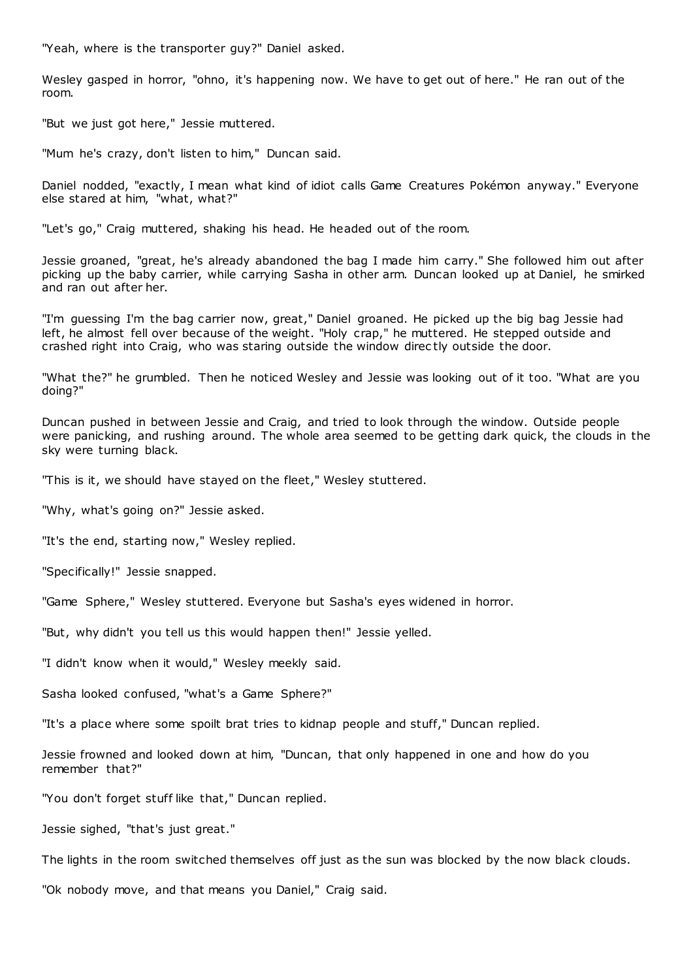"Yeah, where is the transporter guy?" Daniel asked.

Wesley gasped in horror, "ohno, it's happening now. We have to get out of here." He ran out of the room.

"But we just got here," Jessie muttered.

"Mum he's crazy, don't listen to him," Duncan said.

Daniel nodded, "exactly, I mean what kind of idiot calls Game Creatures Pokémon anyway." Everyone else stared at him, "what, what?"

"Let's go," Craig muttered, shaking his head. He headed out of the room.

Jessie groaned, "great, he's already abandoned the bag I made him carry." She followed him out after picking up the baby carrier, while carrying Sasha in other arm. Duncan looked up at Daniel, he smirked and ran out after her.

"I'm guessing I'm the bag carrier now, great," Daniel groaned. He picked up the big bag Jessie had left, he almost fell over because of the weight. "Holy crap," he muttered. He stepped outside and crashed right into Craig, who was staring outside the window direc tly outside the door.

"What the?" he grumbled. Then he noticed Wesley and Jessie was looking out of it too. "What are you doing?"

Duncan pushed in between Jessie and Craig, and tried to look through the window. Outside people were panicking, and rushing around. The whole area seemed to be getting dark quick, the clouds in the sky were turning black.

"This is it, we should have stayed on the fleet," Wesley stuttered.

"Why, what's going on?" Jessie asked.

"It's the end, starting now," Wesley replied.

"Specifically!" Jessie snapped.

"Game Sphere," Wesley stuttered. Everyone but Sasha's eyes widened in horror.

"But, why didn't you tell us this would happen then!" Jessie yelled.

"I didn't know when it would," Wesley meekly said.

Sasha looked confused, "what's a Game Sphere?"

"It's a place where some spoilt brat tries to kidnap people and stuff," Duncan replied.

Jessie frowned and looked down at him, "Duncan, that only happened in one and how do you remember that?"

"You don't forget stuff like that," Duncan replied.

Jessie sighed, "that's just great."

The lights in the room switched themselves off just as the sun was blocked by the now black clouds.

"Ok nobody move, and that means you Daniel," Craig said.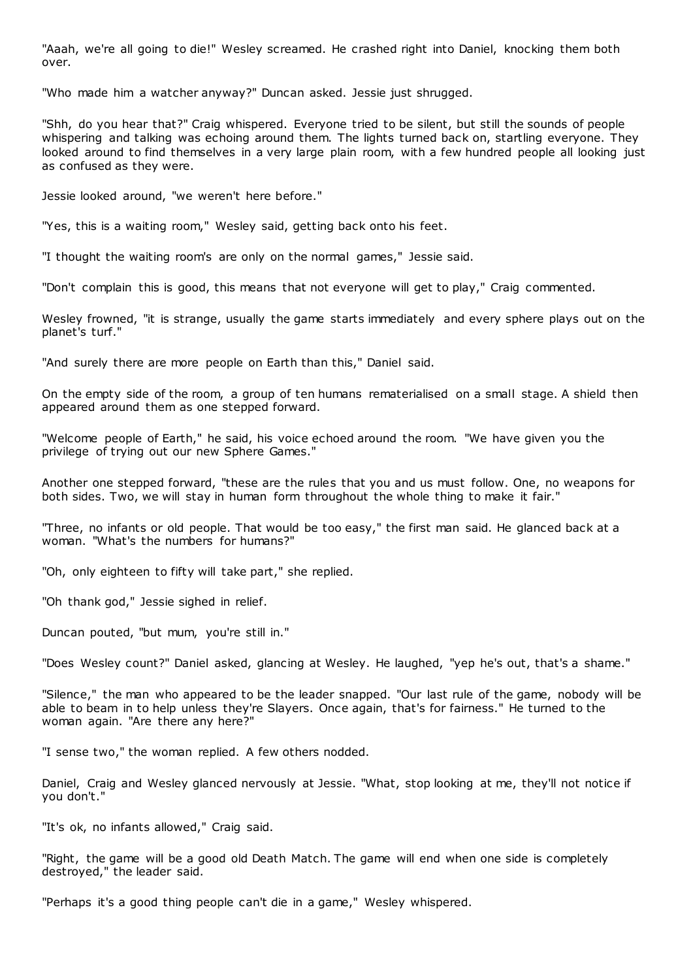"Aaah, we're all going to die!" Wesley screamed. He crashed right into Daniel, knocking them both over.

"Who made him a watcher anyway?" Duncan asked. Jessie just shrugged.

"Shh, do you hear that?" Craig whispered. Everyone tried to be silent, but still the sounds of people whispering and talking was echoing around them. The lights turned back on, startling everyone. They looked around to find themselves in a very large plain room, with a few hundred people all looking just as confused as they were.

Jessie looked around, "we weren't here before."

"Yes, this is a waiting room," Wesley said, getting back onto his feet.

"I thought the waiting room's are only on the normal games," Jessie said.

"Don't complain this is good, this means that not everyone will get to play," Craig commented.

Wesley frowned, "it is strange, usually the game starts immediately and every sphere plays out on the planet's turf."

"And surely there are more people on Earth than this," Daniel said.

On the empty side of the room, a group of ten humans rematerialised on a small stage. A shield then appeared around them as one stepped forward.

"Welcome people of Earth," he said, his voice echoed around the room. "We have given you the privilege of trying out our new Sphere Games."

Another one stepped forward, "these are the rules that you and us must follow. One, no weapons for both sides. Two, we will stay in human form throughout the whole thing to make it fair."

"Three, no infants or old people. That would be too easy," the first man said. He glanced back at a woman. "What's the numbers for humans?"

"Oh, only eighteen to fifty will take part," she replied.

"Oh thank god," Jessie sighed in relief.

Duncan pouted, "but mum, you're still in."

"Does Wesley count?" Daniel asked, glancing at Wesley. He laughed, "yep he's out, that's a shame."

"Silence," the man who appeared to be the leader snapped. "Our last rule of the game, nobody will be able to beam in to help unless they're Slayers. Once again, that's for fairness." He turned to the woman again. "Are there any here?"

"I sense two," the woman replied. A few others nodded.

Daniel, Craig and Wesley glanced nervously at Jessie. "What, stop looking at me, they'll not notice if you don't."

"It's ok, no infants allowed," Craig said.

"Right, the game will be a good old Death Match. The game will end when one side is completely destroyed," the leader said.

"Perhaps it's a good thing people can't die in a game," Wesley whispered.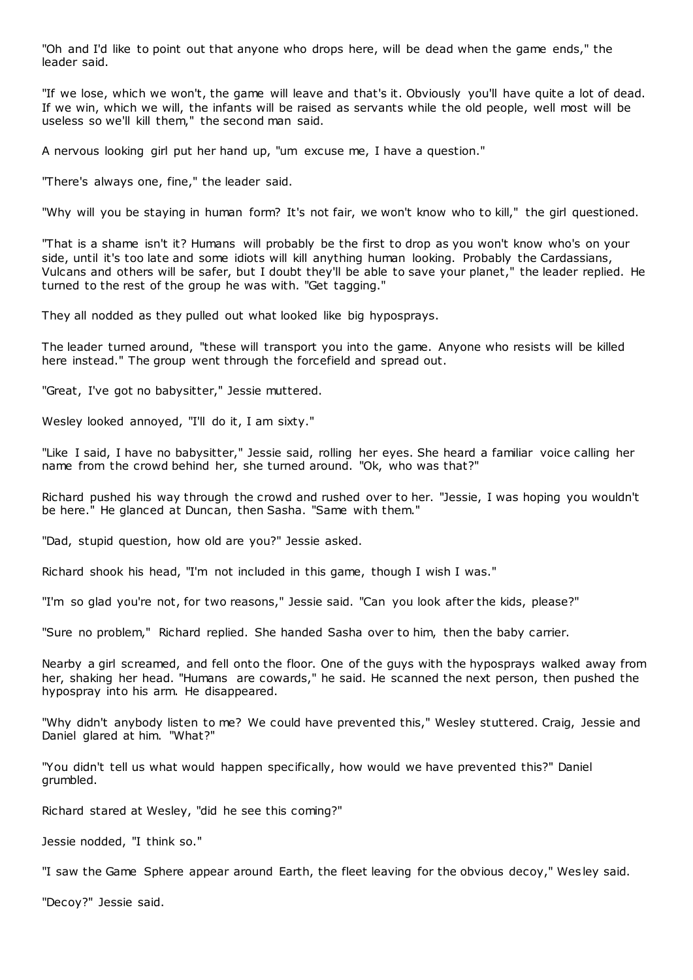"Oh and I'd like to point out that anyone who drops here, will be dead when the game ends," the leader said.

"If we lose, which we won't, the game will leave and that's it. Obviously you'll have quite a lot of dead. If we win, which we will, the infants will be raised as servants while the old people, well most will be useless so we'll kill them," the second man said.

A nervous looking girl put her hand up, "um excuse me, I have a question."

"There's always one, fine," the leader said.

"Why will you be staying in human form? It's not fair, we won't know who to kill," the girl questioned.

"That is a shame isn't it? Humans will probably be the first to drop as you won't know who's on your side, until it's too late and some idiots will kill anything human looking. Probably the Cardassians, Vulcans and others will be safer, but I doubt they'll be able to save your planet," the leader replied. He turned to the rest of the group he was with. "Get tagging."

They all nodded as they pulled out what looked like big hyposprays.

The leader turned around, "these will transport you into the game. Anyone who resists will be killed here instead." The group went through the forcefield and spread out.

"Great, I've got no babysitter," Jessie muttered.

Wesley looked annoved, "I'll do it, I am sixty."

"Like I said, I have no babysitter," Jessie said, rolling her eyes. She heard a familiar voice calling her name from the crowd behind her, she turned around. "Ok, who was that?"

Richard pushed his way through the crowd and rushed over to her. "Jessie, I was hoping you wouldn't be here." He glanced at Duncan, then Sasha. "Same with them."

"Dad, stupid question, how old are you?" Jessie asked.

Richard shook his head, "I'm not included in this game, though I wish I was."

"I'm so glad you're not, for two reasons," Jessie said. "Can you look after the kids, please?"

"Sure no problem," Richard replied. She handed Sasha over to him, then the baby carrier.

Nearby a girl screamed, and fell onto the floor. One of the guys with the hyposprays walked away from her, shaking her head. "Humans are cowards," he said. He scanned the next person, then pushed the hypospray into his arm. He disappeared.

"Why didn't anybody listen to me? We could have prevented this," Wesley stuttered. Craig, Jessie and Daniel glared at him. "What?"

"You didn't tell us what would happen specifically, how would we have prevented this?" Daniel grumbled.

Richard stared at Wesley, "did he see this coming?"

Jessie nodded, "I think so."

"I saw the Game Sphere appear around Earth, the fleet leaving for the obvious decoy," Wes ley said.

"Decoy?" Jessie said.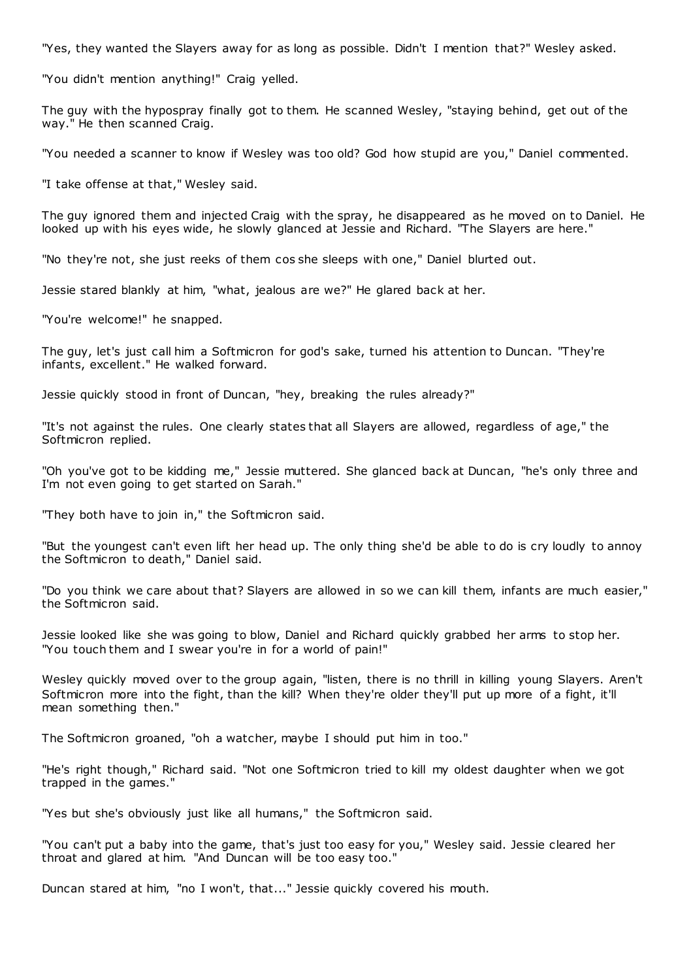"Yes, they wanted the Slayers away for as long as possible. Didn't I mention that?" Wesley asked.

"You didn't mention anything!" Craig yelled.

The guy with the hypospray finally got to them. He scanned Wesley, "staying behind, get out of the way." He then scanned Craig.

"You needed a scanner to know if Wesley was too old? God how stupid are you," Daniel commented.

"I take offense at that," Wesley said.

The guy ignored them and injected Craig with the spray, he disappeared as he moved on to Daniel. He looked up with his eyes wide, he slowly glanced at Jessie and Richard. "The Slayers are here."

"No they're not, she just reeks of them cos she sleeps with one," Daniel blurted out.

Jessie stared blankly at him, "what, jealous are we?" He glared back at her.

"You're welcome!" he snapped.

The guy, let's just call him a Softmicron for god's sake, turned his attention to Duncan. "They're infants, excellent." He walked forward.

Jessie quickly stood in front of Duncan, "hey, breaking the rules already?"

"It's not against the rules. One clearly states that all Slayers are allowed, regardless of age," the Softmicron replied.

"Oh you've got to be kidding me," Jessie muttered. She glanced back at Duncan, "he's only three and I'm not even going to get started on Sarah."

"They both have to join in," the Softmicron said.

"But the youngest can't even lift her head up. The only thing she'd be able to do is cry loudly to annoy the Softmicron to death," Daniel said.

"Do you think we care about that? Slayers are allowed in so we can kill them, infants are much easier," the Softmicron said.

Jessie looked like she was going to blow, Daniel and Richard quickly grabbed her arms to stop her. "You touch them and I swear you're in for a world of pain!"

Wesley quickly moved over to the group again, "listen, there is no thrill in killing young Slayers. Aren't Softmicron more into the fight, than the kill? When they're older they'll put up more of a fight, it'll mean something then."

The Softmicron groaned, "oh a watcher, maybe I should put him in too."

"He's right though," Richard said. "Not one Softmicron tried to kill my oldest daughter when we got trapped in the games."

"Yes but she's obviously just like all humans," the Softmicron said.

"You can't put a baby into the game, that's just too easy for you," Wesley said. Jessie cleared her throat and glared at him. "And Duncan will be too easy too."

Duncan stared at him, "no I won't, that..." Jessie quickly covered his mouth.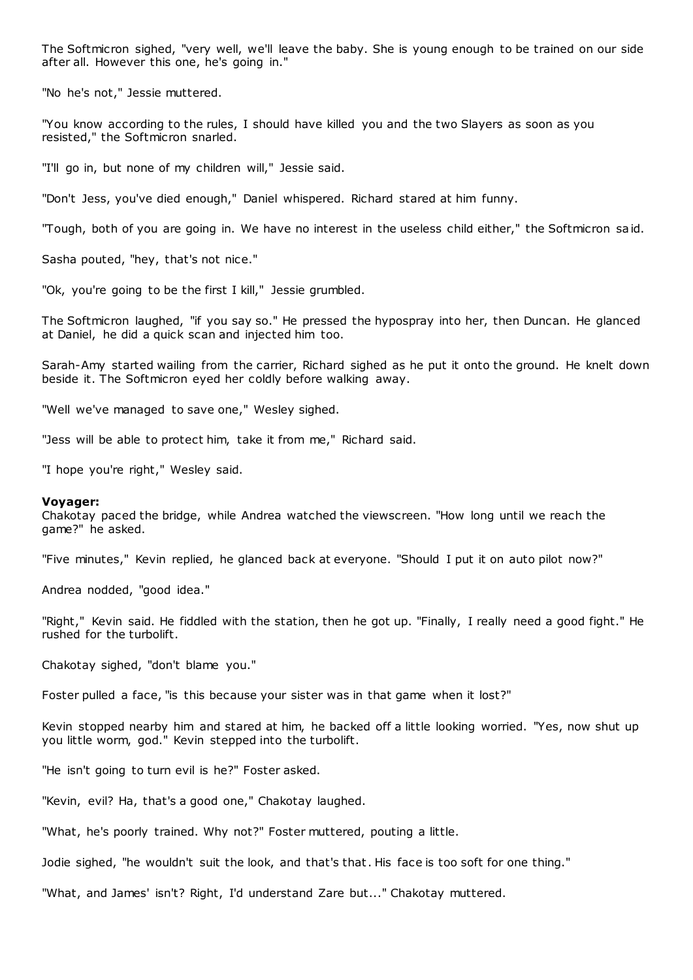The Softmicron sighed, "very well, we'll leave the baby. She is young enough to be trained on our side after all. However this one, he's going in."

"No he's not," Jessie muttered.

"You know according to the rules, I should have killed you and the two Slayers as soon as you resisted," the Softmicron snarled.

"I'll go in, but none of my children will," Jessie said.

"Don't Jess, you've died enough," Daniel whispered. Richard stared at him funny.

"Tough, both of you are going in. We have no interest in the useless child either," the Softmicron said.

Sasha pouted, "hey, that's not nice."

"Ok, you're going to be the first I kill," Jessie grumbled.

The Softmicron laughed, "if you say so." He pressed the hypospray into her, then Duncan. He glanced at Daniel, he did a quick scan and injected him too.

Sarah-Amy started wailing from the carrier, Richard sighed as he put it onto the ground. He knelt down beside it. The Softmicron eyed her coldly before walking away.

"Well we've managed to save one," Wesley sighed.

"Jess will be able to protect him, take it from me," Richard said.

"I hope you're right," Wesley said.

#### **Voyager:**

Chakotay paced the bridge, while Andrea watched the viewscreen. "How long until we reach the game?" he asked.

"Five minutes," Kevin replied, he glanced back at everyone. "Should I put it on auto pilot now?"

Andrea nodded, "good idea."

"Right," Kevin said. He fiddled with the station, then he got up. "Finally, I really need a good fight." He rushed for the turbolift.

Chakotay sighed, "don't blame you."

Foster pulled a face, "is this because your sister was in that game when it lost?"

Kevin stopped nearby him and stared at him, he backed off a little looking worried. "Yes, now shut up you little worm, god." Kevin stepped into the turbolift.

"He isn't going to turn evil is he?" Foster asked.

"Kevin, evil? Ha, that's a good one," Chakotay laughed.

"What, he's poorly trained. Why not?" Foster muttered, pouting a little.

Jodie sighed, "he wouldn't suit the look, and that's that. His face is too soft for one thing."

"What, and James' isn't? Right, I'd understand Zare but..." Chakotay muttered.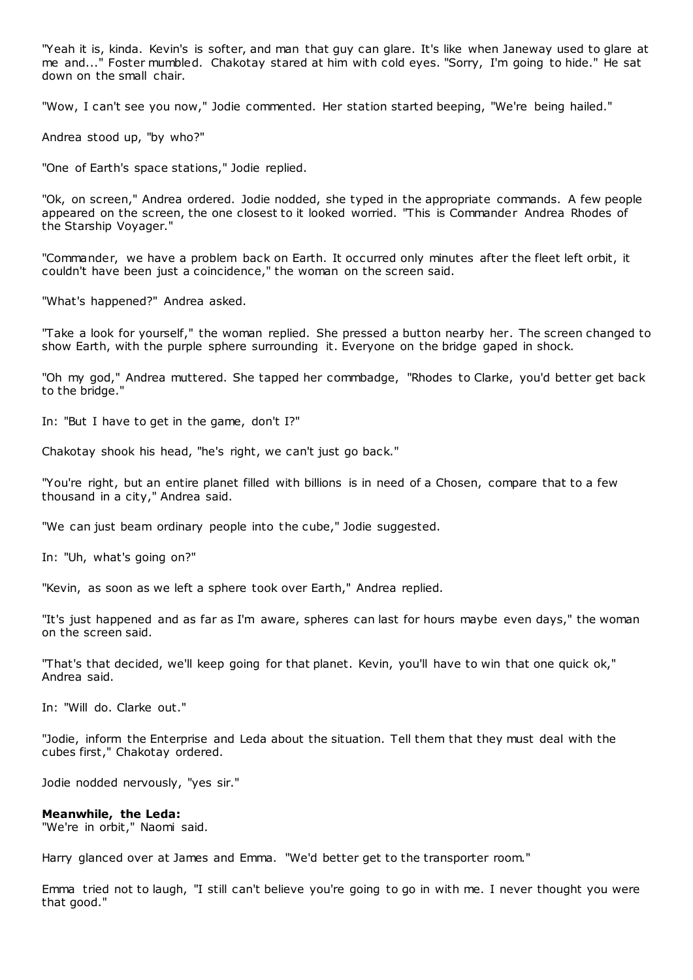"Yeah it is, kinda. Kevin's is softer, and man that guy can glare. It's like when Janeway used to glare at me and..." Foster mumbled. Chakotay stared at him with cold eyes. "Sorry, I'm going to hide." He sat down on the small chair.

"Wow, I can't see you now," Jodie commented. Her station started beeping, "We're being hailed."

Andrea stood up, "by who?"

"One of Earth's space stations," Jodie replied.

"Ok, on screen," Andrea ordered. Jodie nodded, she typed in the appropriate commands. A few people appeared on the screen, the one closest to it looked worried. "This is Commander Andrea Rhodes of the Starship Voyager."

"Commander, we have a problem back on Earth. It occurred only minutes after the fleet left orbit, it couldn't have been just a coincidence," the woman on the screen said.

"What's happened?" Andrea asked.

"Take a look for yourself," the woman replied. She pressed a button nearby her. The screen changed to show Earth, with the purple sphere surrounding it. Everyone on the bridge gaped in shock.

"Oh my god," Andrea muttered. She tapped her commbadge, "Rhodes to Clarke, you'd better get back to the bridge."

In: "But I have to get in the game, don't I?"

Chakotay shook his head, "he's right, we can't just go back."

"You're right, but an entire planet filled with billions is in need of a Chosen, compare that to a few thousand in a city," Andrea said.

"We can just beam ordinary people into the cube," Jodie suggested.

In: "Uh, what's going on?"

"Kevin, as soon as we left a sphere took over Earth," Andrea replied.

"It's just happened and as far as I'm aware, spheres can last for hours maybe even days," the woman on the screen said.

"That's that decided, we'll keep going for that planet. Kevin, you'll have to win that one quick ok," Andrea said.

In: "Will do. Clarke out."

"Jodie, inform the Enterprise and Leda about the situation. Tell them that they must deal with the cubes first," Chakotay ordered.

Jodie nodded nervously, "yes sir."

## **Meanwhile, the Leda:**

"We're in orbit," Naomi said.

Harry glanced over at James and Emma. "We'd better get to the transporter room."

Emma tried not to laugh, "I still can't believe you're going to go in with me. I never thought you were that good."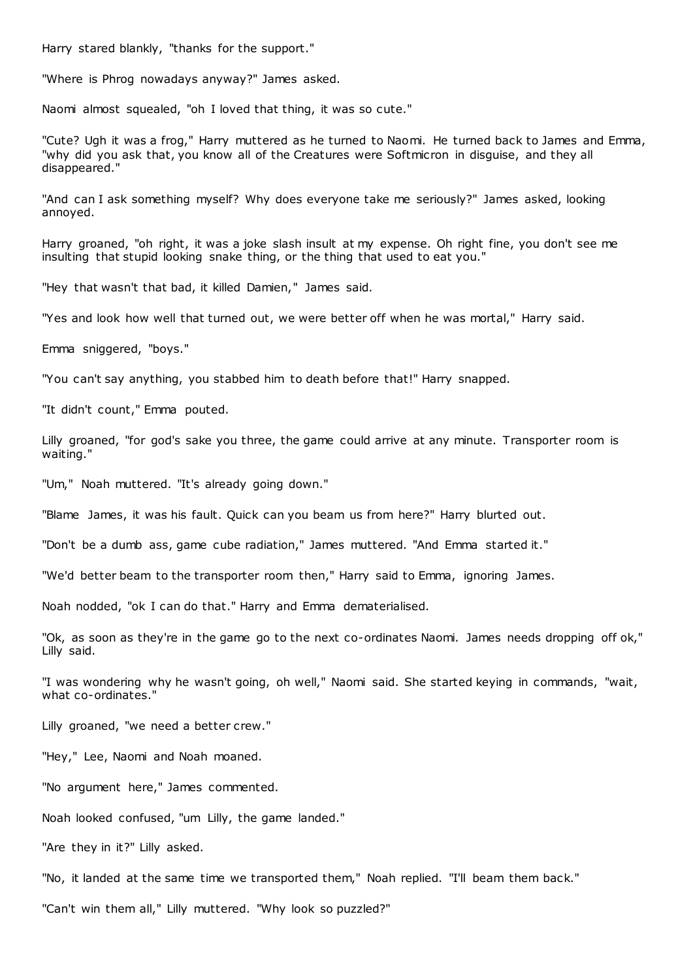Harry stared blankly, "thanks for the support."

"Where is Phrog nowadays anyway?" James asked.

Naomi almost squealed, "oh I loved that thing, it was so cute."

"Cute? Ugh it was a frog," Harry muttered as he turned to Naomi. He turned back to James and Emma, "why did you ask that, you know all of the Creatures were Softmicron in disguise, and they all disappeared."

"And can I ask something myself? Why does everyone take me seriously?" James asked, looking annoyed.

Harry groaned, "oh right, it was a joke slash insult at my expense. Oh right fine, you don't see me insulting that stupid looking snake thing, or the thing that used to eat you."

"Hey that wasn't that bad, it killed Damien," James said.

"Yes and look how well that turned out, we were better off when he was mortal," Harry said.

Emma sniggered, "boys."

"You can't say anything, you stabbed him to death before that!" Harry snapped.

"It didn't count," Emma pouted.

Lilly groaned, "for god's sake you three, the game could arrive at any minute. Transporter room is waiting."

"Um," Noah muttered. "It's already going down."

"Blame James, it was his fault. Quick can you beam us from here?" Harry blurted out.

"Don't be a dumb ass, game cube radiation," James muttered. "And Emma started it."

"We'd better beam to the transporter room then," Harry said to Emma, ignoring James.

Noah nodded, "ok I can do that." Harry and Emma dematerialised.

"Ok, as soon as they're in the game go to the next co-ordinates Naomi. James needs dropping off ok," Lilly said.

"I was wondering why he wasn't going, oh well," Naomi said. She started keying in commands, "wait, what co-ordinates."

Lilly groaned, "we need a better crew."

"Hey," Lee, Naomi and Noah moaned.

"No argument here," James commented.

Noah looked confused, "um Lilly, the game landed."

"Are they in it?" Lilly asked.

"No, it landed at the same time we transported them," Noah replied. "I'll beam them back."

"Can't win them all," Lilly muttered. "Why look so puzzled?"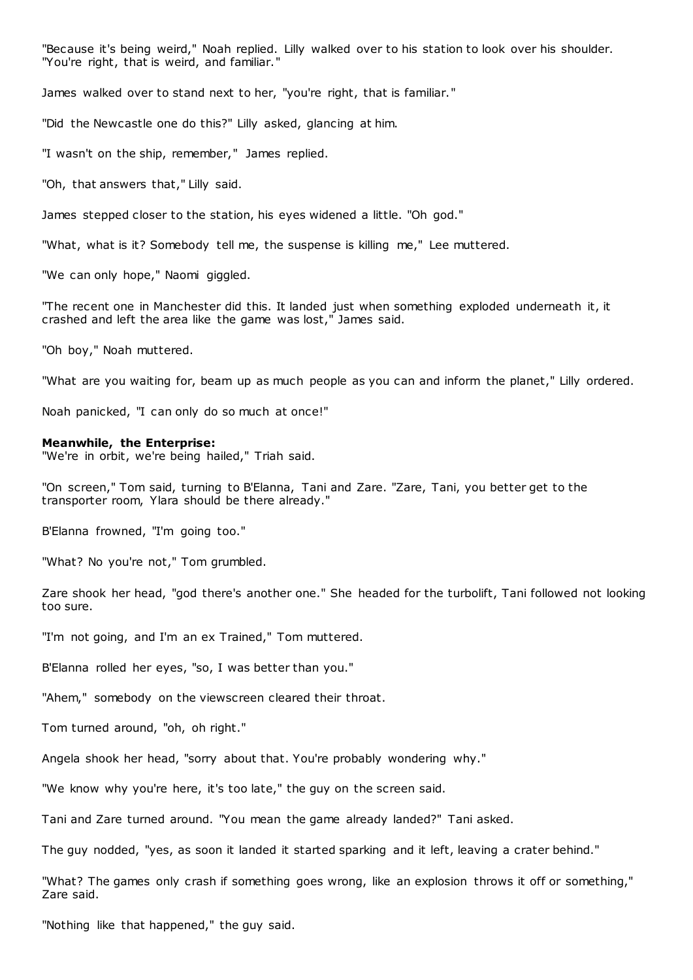"Because it's being weird," Noah replied. Lilly walked over to his station to look over his shoulder. "You're right, that is weird, and familiar."

James walked over to stand next to her, "you're right, that is familiar."

"Did the Newcastle one do this?" Lilly asked, glancing at him.

"I wasn't on the ship, remember," James replied.

"Oh, that answers that," Lilly said.

James stepped closer to the station, his eyes widened a little. "Oh god."

"What, what is it? Somebody tell me, the suspense is killing me," Lee muttered.

"We can only hope," Naomi giggled.

"The recent one in Manchester did this. It landed just when something exploded underneath it, it crashed and left the area like the game was lost," James said.

"Oh boy," Noah muttered.

"What are you waiting for, beam up as much people as you can and inform the planet," Lilly ordered.

Noah panicked, "I can only do so much at once!"

#### **Meanwhile, the Enterprise:**

"We're in orbit, we're being hailed," Triah said.

"On screen," Tom said, turning to B'Elanna, Tani and Zare. "Zare, Tani, you better get to the transporter room, Ylara should be there already."

B'Elanna frowned, "I'm going too."

"What? No you're not," Tom grumbled.

Zare shook her head, "god there's another one." She headed for the turbolift, Tani followed not looking too sure.

"I'm not going, and I'm an ex Trained," Tom muttered.

B'Elanna rolled her eyes, "so, I was better than you."

"Ahem," somebody on the viewscreen cleared their throat.

Tom turned around, "oh, oh right."

Angela shook her head, "sorry about that. You're probably wondering why."

"We know why you're here, it's too late," the guy on the screen said.

Tani and Zare turned around. "You mean the game already landed?" Tani asked.

The guy nodded, "yes, as soon it landed it started sparking and it left, leaving a crater behind."

"What? The games only crash if something goes wrong, like an explosion throws it off or something," Zare said.

"Nothing like that happened," the guy said.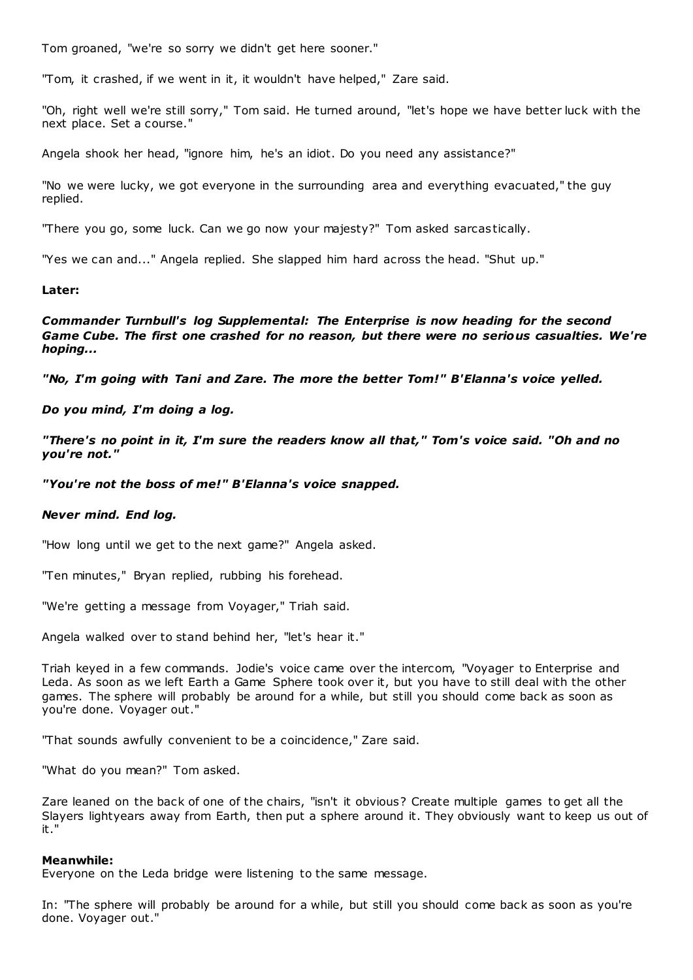Tom groaned, "we're so sorry we didn't get here sooner."

"Tom, it crashed, if we went in it, it wouldn't have helped," Zare said.

"Oh, right well we're still sorry," Tom said. He turned around, "let's hope we have better luck with the next place. Set a course."

Angela shook her head, "ignore him, he's an idiot. Do you need any assistance?"

"No we were lucky, we got everyone in the surrounding area and everything evacuated," the guy replied.

"There you go, some luck. Can we go now your majesty?" Tom asked sarcastically.

"Yes we can and..." Angela replied. She slapped him hard across the head. "Shut up."

## **Later:**

*Commander Turnbull's log Supplemental: The Enterprise is now heading for the second Game Cube. The first one crashed for no reason, but there were no serious casualties. We're hoping...*

*"No, I'm going with Tani and Zare. The more the better Tom!" B'Elanna's voice yelled.*

## *Do you mind, I'm doing a log.*

*"There's no point in it, I'm sure the readers know all that," Tom's voice said. "Oh and no you're not."*

*"You're not the boss of me!" B'Elanna's voice snapped.*

## *Never mind. End log.*

"How long until we get to the next game?" Angela asked.

"Ten minutes," Bryan replied, rubbing his forehead.

"We're getting a message from Voyager," Triah said.

Angela walked over to stand behind her, "let's hear it."

Triah keyed in a few commands. Jodie's voice came over the intercom, "Voyager to Enterprise and Leda. As soon as we left Earth a Game Sphere took over it, but you have to still deal with the other games. The sphere will probably be around for a while, but still you should come back as soon as you're done. Voyager out."

"That sounds awfully convenient to be a coincidence," Zare said.

"What do you mean?" Tom asked.

Zare leaned on the back of one of the chairs, "isn't it obvious? Create multiple games to get all the Slayers lightyears away from Earth, then put a sphere around it. They obviously want to keep us out of it."

## **Meanwhile:**

Everyone on the Leda bridge were listening to the same message.

In: "The sphere will probably be around for a while, but still you should come back as soon as you're done. Voyager out."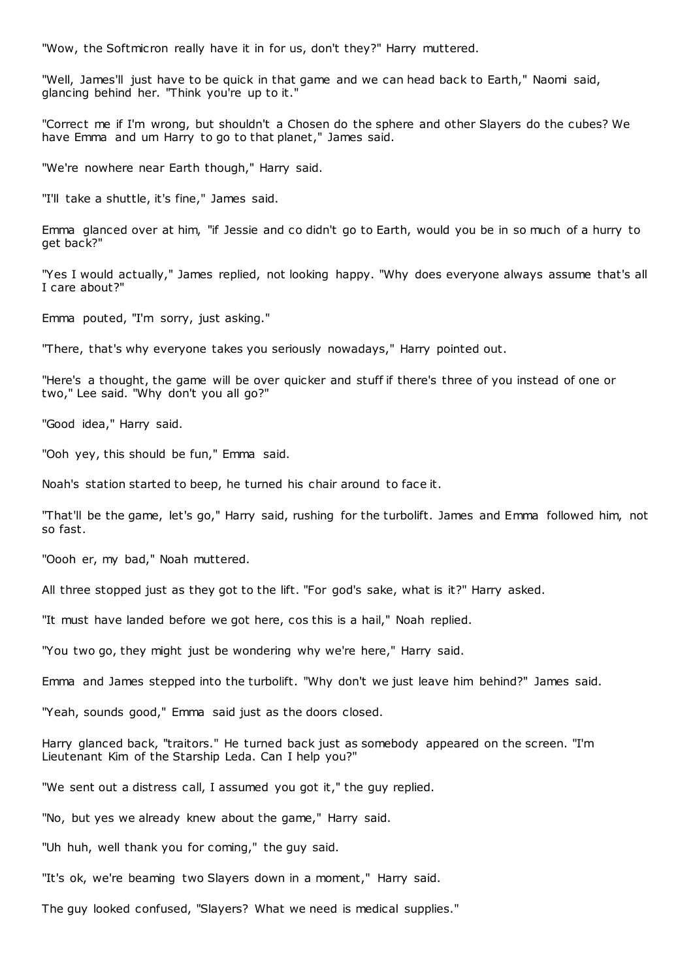"Wow, the Softmicron really have it in for us, don't they?" Harry muttered.

"Well, James'll just have to be quick in that game and we can head back to Earth," Naomi said, glancing behind her. "Think you're up to it."

"Correct me if I'm wrong, but shouldn't a Chosen do the sphere and other Slayers do the cubes? We have Emma and um Harry to go to that planet," James said.

"We're nowhere near Earth though," Harry said.

"I'll take a shuttle, it's fine," James said.

Emma glanced over at him, "if Jessie and co didn't go to Earth, would you be in so much of a hurry to get back?"

"Yes I would actually," James replied, not looking happy. "Why does everyone always assume that's all I care about?"

Emma pouted, "I'm sorry, just asking."

"There, that's why everyone takes you seriously nowadays," Harry pointed out.

"Here's a thought, the game will be over quicker and stuff if there's three of you instead of one or two," Lee said. "Why don't you all go?"

"Good idea," Harry said.

"Ooh yey, this should be fun," Emma said.

Noah's station started to beep, he turned his chair around to face it.

"That'll be the game, let's go," Harry said, rushing for the turbolift. James and Emma followed him, not so fast.

"Oooh er, my bad," Noah muttered.

All three stopped just as they got to the lift. "For god's sake, what is it?" Harry asked.

"It must have landed before we got here, cos this is a hail," Noah replied.

"You two go, they might just be wondering why we're here," Harry said.

Emma and James stepped into the turbolift. "Why don't we just leave him behind?" James said.

"Yeah, sounds good," Emma said just as the doors closed.

Harry glanced back, "traitors." He turned back just as somebody appeared on the screen. "I'm Lieutenant Kim of the Starship Leda. Can I help you?"

"We sent out a distress call, I assumed you got it," the guy replied.

"No, but yes we already knew about the game," Harry said.

"Uh huh, well thank you for coming," the guy said.

"It's ok, we're beaming two Slayers down in a moment," Harry said.

The guy looked confused, "Slayers? What we need is medical supplies."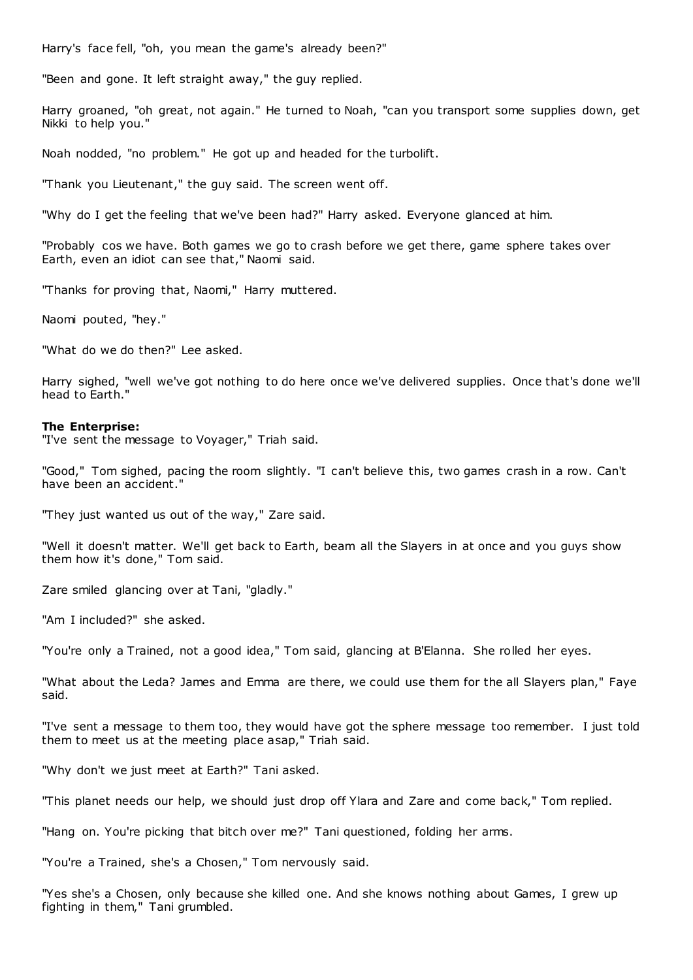Harry's face fell, "oh, you mean the game's already been?"

"Been and gone. It left straight away," the guy replied.

Harry groaned, "oh great, not again." He turned to Noah, "can you transport some supplies down, get Nikki to help you."

Noah nodded, "no problem." He got up and headed for the turbolift.

"Thank you Lieutenant," the guy said. The screen went off.

"Why do I get the feeling that we've been had?" Harry asked. Everyone glanced at him.

"Probably cos we have. Both games we go to crash before we get there, game sphere takes over Earth, even an idiot can see that," Naomi said.

"Thanks for proving that, Naomi," Harry muttered.

Naomi pouted, "hey."

"What do we do then?" Lee asked.

Harry sighed, "well we've got nothing to do here once we've delivered supplies. Once that's done we'll head to Earth."

## **The Enterprise:**

"I've sent the message to Voyager," Triah said.

"Good," Tom sighed, pacing the room slightly. "I can't believe this, two games crash in a row. Can't have been an accident."

"They just wanted us out of the way," Zare said.

"Well it doesn't matter. We'll get back to Earth, beam all the Slayers in at once and you guys show them how it's done," Tom said.

Zare smiled glancing over at Tani, "gladly."

"Am I included?" she asked.

"You're only a Trained, not a good idea," Tom said, glancing at B'Elanna. She rolled her eyes.

"What about the Leda? James and Emma are there, we could use them for the all Slayers plan," Faye said.

"I've sent a message to them too, they would have got the sphere message too remember. I just told them to meet us at the meeting place asap," Triah said.

"Why don't we just meet at Earth?" Tani asked.

"This planet needs our help, we should just drop off Ylara and Zare and come back," Tom replied.

"Hang on. You're picking that bitch over me?" Tani questioned, folding her arms.

"You're a Trained, she's a Chosen," Tom nervously said.

"Yes she's a Chosen, only because she killed one. And she knows nothing about Games, I grew up fighting in them," Tani grumbled.